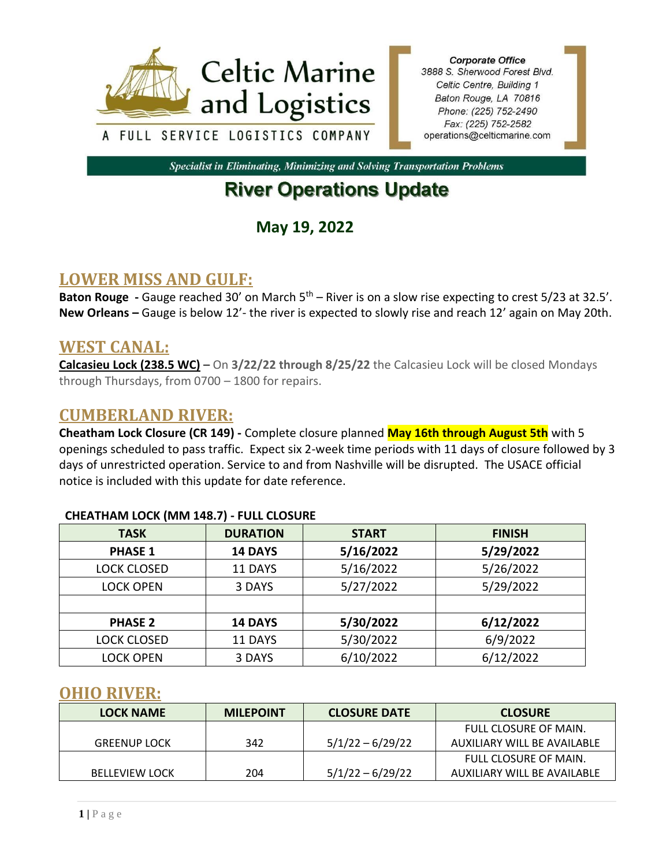

**Corporate Office** 3888 S. Sherwood Forest Blvd. Celtic Centre, Building 1 Baton Rouge, LA 70816 Phone: (225) 752-2490 Fax: (225) 752-2582 operations@celticmarine.com

**Specialist in Eliminating, Minimizing and Solving Transportation Problems** 

# **River Operations Update**

**May 19, 2022**

# **LOWER MISS AND GULF:**

**Baton Rouge** - Gauge reached 30' on March 5<sup>th</sup> – River is on a slow rise expecting to crest 5/23 at 32.5'. **New Orleans –** Gauge is below 12'- the river is expected to slowly rise and reach 12' again on May 20th.

## **WEST CANAL:**

**Calcasieu Lock (238.5 WC)** – On **3/22/22 through 8/25/22** the Calcasieu Lock will be closed Mondays through Thursdays, from 0700 – 1800 for repairs.

## **CUMBERLAND RIVER:**

**Cheatham Lock Closure (CR 149) -** Complete closure planned **May 16th through August 5th** with 5 openings scheduled to pass traffic. Expect six 2-week time periods with 11 days of closure followed by 3 days of unrestricted operation. Service to and from Nashville will be disrupted. The USACE official notice is included with this update for date reference.

| <b>TASK</b>        | <b>DURATION</b>      | <b>START</b> | <b>FINISH</b> |  |  |  |
|--------------------|----------------------|--------------|---------------|--|--|--|
| <b>PHASE 1</b>     | 14 DAYS              | 5/16/2022    | 5/29/2022     |  |  |  |
| <b>LOCK CLOSED</b> | 5/16/2022<br>11 DAYS |              | 5/26/2022     |  |  |  |
| <b>LOCK OPEN</b>   | 3 DAYS               | 5/27/2022    | 5/29/2022     |  |  |  |
|                    |                      |              |               |  |  |  |
| <b>PHASE 2</b>     | <b>14 DAYS</b>       | 5/30/2022    | 6/12/2022     |  |  |  |
| <b>LOCK CLOSED</b> | 11 DAYS              | 5/30/2022    | 6/9/2022      |  |  |  |
| <b>LOCK OPEN</b>   | 3 DAYS               | 6/10/2022    | 6/12/2022     |  |  |  |

#### **CHEATHAM LOCK (MM 148.7) - FULL CLOSURE**

### **OHIO RIVER:**

| <b>LOCK NAME</b>      | <b>MILEPOINT</b> | <b>CLOSURE DATE</b> | <b>CLOSURE</b>              |
|-----------------------|------------------|---------------------|-----------------------------|
|                       |                  |                     | FULL CLOSURE OF MAIN.       |
| <b>GREENUP LOCK</b>   | 342              | $5/1/22 - 6/29/22$  | AUXILIARY WILL BE AVAILABLE |
|                       |                  |                     | FULL CLOSURE OF MAIN.       |
| <b>BELLEVIEW LOCK</b> | 204              | $5/1/22 - 6/29/22$  | AUXILIARY WILL BE AVAILABLE |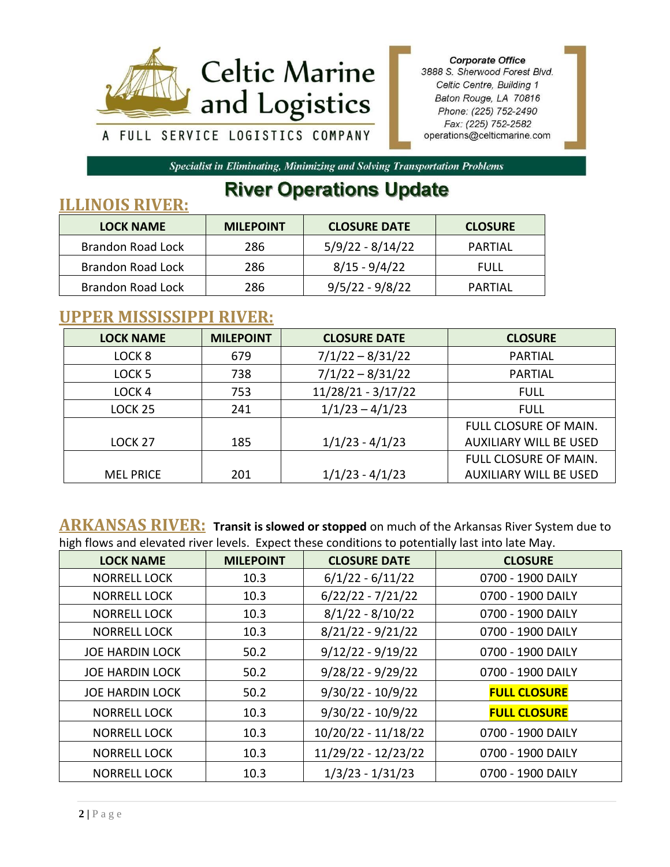

**Corporate Office** 3888 S. Sherwood Forest Blvd. Celtic Centre, Building 1 Baton Rouge, LA 70816 Phone: (225) 752-2490 Fax: (225) 752-2582 operations@celticmarine.com

Specialist in Eliminating, Minimizing and Solving Transportation Problems

# **River Operations Update**

# **ILLINOIS RIVER: LOCK NAME MILEPOINT CLOSURE DATE CLOSURE** Brandon Road Lock | 286 | 5/9/22 - 8/14/22 | PARTIAL Brandon Road Lock | 286 | 8/15 - 9/4/22 | FULL Brandon Road Lock | 286 | 9/5/22 - 9/8/22 | PARTIAL

# **UPPER MISSISSIPPI RIVER:**

| <b>LOCK NAME</b>   | <b>MILEPOINT</b> | <b>CLOSURE DATE</b> | <b>CLOSURE</b>                |
|--------------------|------------------|---------------------|-------------------------------|
| LOCK <sub>8</sub>  | 679              | $7/1/22 - 8/31/22$  | PARTIAL                       |
| LOCK <sub>5</sub>  | 738              | $7/1/22 - 8/31/22$  | <b>PARTIAL</b>                |
| LOCK <sub>4</sub>  | 753              | 11/28/21 - 3/17/22  | <b>FULL</b>                   |
| LOCK <sub>25</sub> | 241              | $1/1/23 - 4/1/23$   | <b>FULL</b>                   |
|                    |                  |                     | FULL CLOSURE OF MAIN.         |
| LOCK <sub>27</sub> | 185              | $1/1/23 - 4/1/23$   | <b>AUXILIARY WILL BE USED</b> |
|                    |                  |                     | FULL CLOSURE OF MAIN.         |
| <b>MEL PRICE</b>   | 201              | $1/1/23 - 4/1/23$   | <b>AUXILIARY WILL BE USED</b> |

**ARKANSAS RIVER: Transit is slowed or stopped** on much of the Arkansas River System due to high flows and elevated river levels. Expect these conditions to potentially last into late May.

| <b>LOCK NAME</b>       | <b>MILEPOINT</b> | <b>CLOSURE DATE</b> | <b>CLOSURE</b>      |
|------------------------|------------------|---------------------|---------------------|
| <b>NORRELL LOCK</b>    | 10.3             | $6/1/22 - 6/11/22$  | 0700 - 1900 DAILY   |
| <b>NORRELL LOCK</b>    | 10.3             | $6/22/22 - 7/21/22$ | 0700 - 1900 DAILY   |
| <b>NORRELL LOCK</b>    | 10.3             | $8/1/22 - 8/10/22$  | 0700 - 1900 DAILY   |
| NORRELL LOCK           | 10.3             | $8/21/22 - 9/21/22$ | 0700 - 1900 DAILY   |
| <b>JOE HARDIN LOCK</b> | 50.2             | $9/12/22 - 9/19/22$ | 0700 - 1900 DAILY   |
| <b>JOE HARDIN LOCK</b> | 50.2             | $9/28/22 - 9/29/22$ | 0700 - 1900 DAILY   |
| <b>JOE HARDIN LOCK</b> | 50.2             | $9/30/22 - 10/9/22$ | <b>FULL CLOSURE</b> |
| <b>NORRELL LOCK</b>    | 10.3             | $9/30/22 - 10/9/22$ | <b>FULL CLOSURE</b> |
| <b>NORRELL LOCK</b>    | 10.3             | 10/20/22 - 11/18/22 | 0700 - 1900 DAILY   |
| <b>NORRELL LOCK</b>    | 10.3             | 11/29/22 - 12/23/22 | 0700 - 1900 DAILY   |
| <b>NORRELL LOCK</b>    | 10.3             | $1/3/23 - 1/31/23$  | 0700 - 1900 DAILY   |